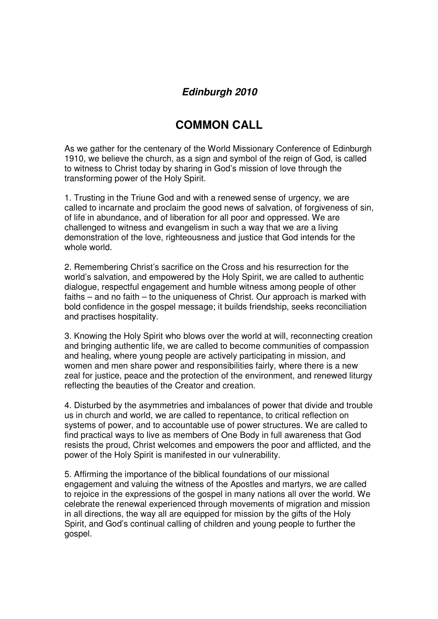## **Edinburgh 2010**

## **COMMON CALL**

As we gather for the centenary of the World Missionary Conference of Edinburgh 1910, we believe the church, as a sign and symbol of the reign of God, is called to witness to Christ today by sharing in God's mission of love through the transforming power of the Holy Spirit.

1. Trusting in the Triune God and with a renewed sense of urgency, we are called to incarnate and proclaim the good news of salvation, of forgiveness of sin, of life in abundance, and of liberation for all poor and oppressed. We are challenged to witness and evangelism in such a way that we are a living demonstration of the love, righteousness and justice that God intends for the whole world.

2. Remembering Christ's sacrifice on the Cross and his resurrection for the world's salvation, and empowered by the Holy Spirit, we are called to authentic dialogue, respectful engagement and humble witness among people of other faiths – and no faith – to the uniqueness of Christ. Our approach is marked with bold confidence in the gospel message; it builds friendship, seeks reconciliation and practises hospitality.

3. Knowing the Holy Spirit who blows over the world at will, reconnecting creation and bringing authentic life, we are called to become communities of compassion and healing, where young people are actively participating in mission, and women and men share power and responsibilities fairly, where there is a new zeal for justice, peace and the protection of the environment, and renewed liturgy reflecting the beauties of the Creator and creation.

4. Disturbed by the asymmetries and imbalances of power that divide and trouble us in church and world, we are called to repentance, to critical reflection on systems of power, and to accountable use of power structures. We are called to find practical ways to live as members of One Body in full awareness that God resists the proud, Christ welcomes and empowers the poor and afflicted, and the power of the Holy Spirit is manifested in our vulnerability.

5. Affirming the importance of the biblical foundations of our missional engagement and valuing the witness of the Apostles and martyrs, we are called to rejoice in the expressions of the gospel in many nations all over the world. We celebrate the renewal experienced through movements of migration and mission in all directions, the way all are equipped for mission by the gifts of the Holy Spirit, and God's continual calling of children and young people to further the gospel.